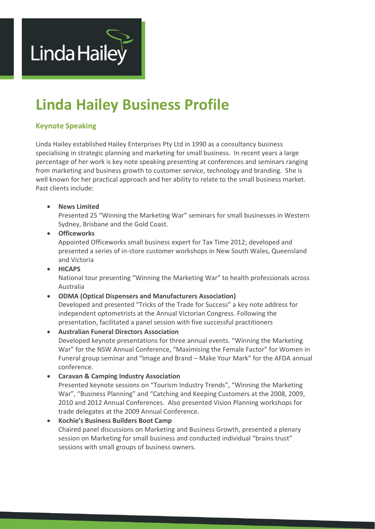

# **Linda Hailey Business Profile**

# **Keynote Speaking**

Linda Hailey established Hailey Enterprises Pty Ltd in 1990 as a consultancy business specialising in strategic planning and marketing for small business. In recent years a large percentage of her work is key note speaking presenting at conferences and seminars ranging from marketing and business growth to customer service, technology and branding. She is well known for her practical approach and her ability to relate to the small business market. Past clients include:

#### **News Limited**

Presented 25 "Winning the Marketing War" seminars for small businesses in Western Sydney, Brisbane and the Gold Coast.

#### **Officeworks**

Appointed Officeworks small business expert for Tax Time 2012; developed and presented a series of in-store customer workshops in New South Wales, Queensland and Victoria

# **HICAPS**

National tour presenting "Winning the Marketing War" to health professionals across Australia

#### **ODMA (Optical Dispensers and Manufacturers Association)**

Developed and presented "Tricks of the Trade for Success" a key note address for independent optometrists at the Annual Victorian Congress. Following the presentation, facilitated a panel session with five successful practitioners

# **Australian Funeral Directors Association**

Developed keynote presentations for three annual events. "Winning the Marketing War" for the NSW Annual Conference, "Maximising the Female Factor" for Women in Funeral group seminar and "Image and Brand – Make Your Mark" for the AFDA annual conference.

#### **Caravan & Camping Industry Association**

Presented keynote sessions on "Tourism Industry Trends", "Winning the Marketing War", "Business Planning" and "Catching and Keeping Customers at the 2008, 2009, 2010 and 2012 Annual Conferences. Also presented Vision Planning workshops for trade delegates at the 2009 Annual Conference.

#### **Kochie's Business Builders Boot Camp**

Chaired panel discussions on Marketing and Business Growth, presented a plenary session on Marketing for small business and conducted individual "brains trust" sessions with small groups of business owners.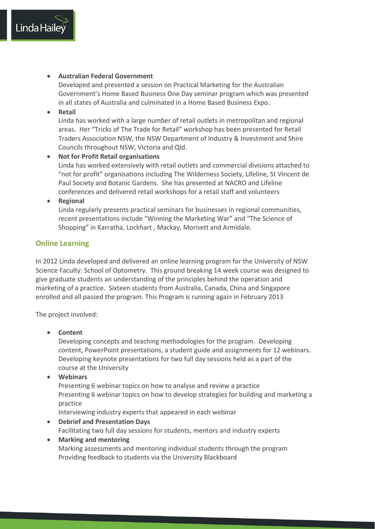

#### **Australian Federal Government**

Developed and presented a session on Practical Marketing for the Australian Government's Home Based Business One Day seminar program which was presented in all states of Australia and culminated in a Home Based Business Expo.

**Retail**

Linda has worked with a large number of retail outlets in metropolitan and regional areas. Her "Tricks of The Trade for Retail" workshop has been presented for Retail Traders Association NSW, the NSW Department of Industry & Investment and Shire Councils throughout NSW, Victoria and Qld.

- **Not for Profit Retail organisations** Linda has worked extensively with retail outlets and commercial divisions attached to "not for profit" organisations including The Wilderness Society, Lifeline, St Vincent de Paul Society and Botanic Gardens. She has presented at NACRO and Lifeline conferences and delivered retail workshops for a retail staff and volunteers
- **Regional**

Linda regularly presents practical seminars for businesses in regional communities, recent presentations include "Winning the Marketing War" and "The Science of Shopping" in Karratha, Lockhart , Mackay, Morisett and Armidale.

#### **Online Learning**

In 2012 Linda developed and delivered an online learning program for the University of NSW Science Faculty: School of Optometry. This ground breaking 14 week course was designed to give graduate students an understanding of the principles behind the operation and marketing of a practice. Sixteen students from Australia, Canada, China and Singapore enrolled and all passed the program. This Program is running again in February 2013

The project involved:

**Content**

Developing concepts and teaching methodologies for the program. Developing content, PowerPoint presentations, a student guide and assignments for 12 webinars. Developing keynote presentations for two full day sessions held as a part of the course at the University

**Webinars**

Presenting 6 webinar topics on how to analyse and review a practice Presenting 6 webinar topics on how to develop strategies for building and marketing a practice

Interviewing industry experts that appeared in each webinar

- **Debrief and Presentation Days** Facilitating two full day sessions for students, mentors and industry experts
- **Marking and mentoring** Marking assessments and mentoring individual students through the program Providing feedback to students via the University Blackboard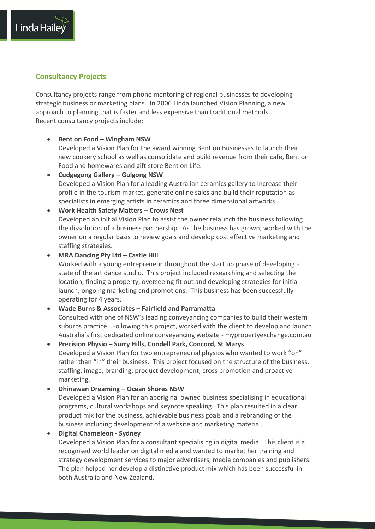#### **Consultancy Projects**

Linda Haile

Consultancy projects range from phone mentoring of regional businesses to developing strategic business or marketing plans. In 2006 Linda launched Vision Planning, a new approach to planning that is faster and less expensive than traditional methods. Recent consultancy projects include:

#### **Bent on Food – Wingham NSW**

Developed a Vision Plan for the award winning Bent on Businesses to launch their new cookery school as well as consolidate and build revenue from their cafe, Bent on Food and homewares and gift store Bent on Life.

- **Cudgegong Gallery – Gulgong NSW** Developed a Vision Plan for a leading Australian ceramics gallery to increase their profile in the tourism market, generate online sales and build their reputation as specialists in emerging artists in ceramics and three dimensional artworks.
- **Work Health Safety Matters – Crows Nest** Developed an initial Vision Plan to assist the owner relaunch the business following the dissolution of a business partnership. As the business has grown, worked with the owner on a regular basis to review goals and develop cost effective marketing and staffing strategies.

#### **MRA Dancing Pty Ltd – Castle Hill**

Worked with a young entrepreneur throughout the start up phase of developing a state of the art dance studio. This project included researching and selecting the location, finding a property, overseeing fit out and developing strategies for initial launch, ongoing marketing and promotions. This business has been successfully operating for 4 years.

# **Wade Burns & Associates – Fairfield and Parramatta**

Consulted with one of NSW's leading conveyancing companies to build their western suburbs practice. Following this project, worked with the client to develop and launch Australia's first dedicated online conveyancing website - mypropertyexchange.com.au

 **Precision Physio – Surry Hills, Condell Park, Concord, St Marys**  Developed a Vision Plan for two entrepreneurial physios who wanted to work "on" rather than "in" their business. This project focused on the structure of the business, staffing, image, branding, product development, cross promotion and proactive marketing.

#### **Dhinawan Dreaming – Ocean Shores NSW**

Developed a Vision Plan for an aboriginal owned business specialising in educational programs, cultural workshops and keynote speaking. This plan resulted in a clear product mix for the business, achievable business goals and a rebranding of the business including development of a website and marketing material.

**Digital Chameleon - Sydney**

Developed a Vision Plan for a consultant specialising in digital media. This client is a recognised world leader on digital media and wanted to market her training and strategy development services to major advertisers, media companies and publishers. The plan helped her develop a distinctive product mix which has been successful in both Australia and New Zealand.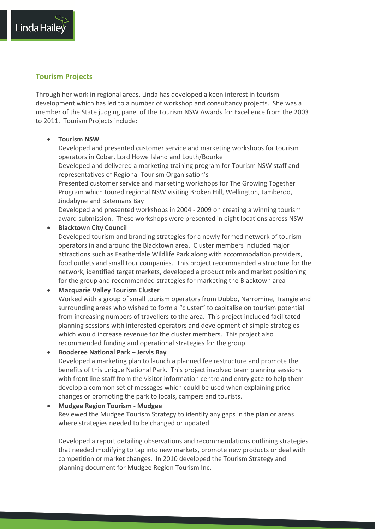

Linda Haile

Through her work in regional areas, Linda has developed a keen interest in tourism development which has led to a number of workshop and consultancy projects. She was a member of the State judging panel of the Tourism NSW Awards for Excellence from the 2003 to 2011. Tourism Projects include:

#### **Tourism NSW**

Developed and presented customer service and marketing workshops for tourism operators in Cobar, Lord Howe Island and Louth/Bourke

Developed and delivered a marketing training program for Tourism NSW staff and representatives of Regional Tourism Organisation's

Presented customer service and marketing workshops for The Growing Together Program which toured regional NSW visiting Broken Hill, Wellington, Jamberoo, Jindabyne and Batemans Bay

Developed and presented workshops in 2004 - 2009 on creating a winning tourism award submission. These workshops were presented in eight locations across NSW

#### **•** Blacktown City Council

Developed tourism and branding strategies for a newly formed network of tourism operators in and around the Blacktown area. Cluster members included major attractions such as Featherdale Wildlife Park along with accommodation providers, food outlets and small tour companies. This project recommended a structure for the network, identified target markets, developed a product mix and market positioning for the group and recommended strategies for marketing the Blacktown area

# **Macquarie Valley Tourism Cluster**

Worked with a group of small tourism operators from Dubbo, Narromine, Trangie and surrounding areas who wished to form a "cluster" to capitalise on tourism potential from increasing numbers of travellers to the area. This project included facilitated planning sessions with interested operators and development of simple strategies which would increase revenue for the cluster members. This project also recommended funding and operational strategies for the group

**Booderee National Park – Jervis Bay**

Developed a marketing plan to launch a planned fee restructure and promote the benefits of this unique National Park. This project involved team planning sessions with front line staff from the visitor information centre and entry gate to help them develop a common set of messages which could be used when explaining price changes or promoting the park to locals, campers and tourists.

#### **Mudgee Region Tourism - Mudgee**

Reviewed the Mudgee Tourism Strategy to identify any gaps in the plan or areas where strategies needed to be changed or updated.

Developed a report detailing observations and recommendations outlining strategies that needed modifying to tap into new markets, promote new products or deal with competition or market changes. In 2010 developed the Tourism Strategy and planning document for Mudgee Region Tourism Inc.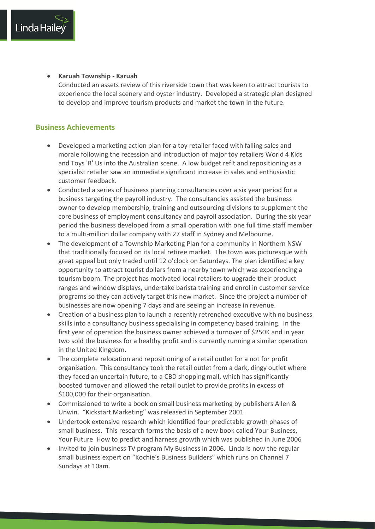

 **Karuah Township - Karuah** Conducted an assets review of this riverside town that was keen to attract tourists to experience the local scenery and oyster industry. Developed a strategic plan designed to develop and improve tourism products and market the town in the future.

#### **Business Achievements**

- Developed a marketing action plan for a toy retailer faced with falling sales and morale following the recession and introduction of major toy retailers World 4 Kids and Toys 'R' Us into the Australian scene. A low budget refit and repositioning as a specialist retailer saw an immediate significant increase in sales and enthusiastic customer feedback.
- Conducted a series of business planning consultancies over a six year period for a business targeting the payroll industry. The consultancies assisted the business owner to develop membership, training and outsourcing divisions to supplement the core business of employment consultancy and payroll association. During the six year period the business developed from a small operation with one full time staff member to a multi-million dollar company with 27 staff in Sydney and Melbourne.
- The development of a Township Marketing Plan for a community in Northern NSW that traditionally focused on its local retiree market. The town was picturesque with great appeal but only traded until 12 o'clock on Saturdays. The plan identified a key opportunity to attract tourist dollars from a nearby town which was experiencing a tourism boom. The project has motivated local retailers to upgrade their product ranges and window displays, undertake barista training and enrol in customer service programs so they can actively target this new market. Since the project a number of businesses are now opening 7 days and are seeing an increase in revenue.
- Creation of a business plan to launch a recently retrenched executive with no business skills into a consultancy business specialising in competency based training. In the first year of operation the business owner achieved a turnover of \$250K and in year two sold the business for a healthy profit and is currently running a similar operation in the United Kingdom.
- The complete relocation and repositioning of a retail outlet for a not for profit organisation. This consultancy took the retail outlet from a dark, dingy outlet where they faced an uncertain future, to a CBD shopping mall, which has significantly boosted turnover and allowed the retail outlet to provide profits in excess of \$100,000 for their organisation.
- Commissioned to write a book on small business marketing by publishers Allen & Unwin. "Kickstart Marketing" was released in September 2001
- Undertook extensive research which identified four predictable growth phases of small business. This research forms the basis of a new book called Your Business, Your Future How to predict and harness growth which was published in June 2006
- Invited to join business TV program My Business in 2006. Linda is now the regular small business expert on "Kochie's Business Builders" which runs on Channel 7 Sundays at 10am.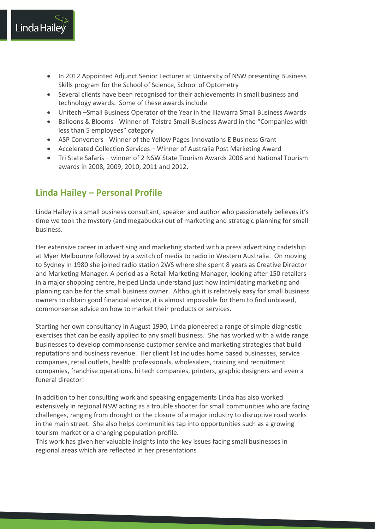

- In 2012 Appointed Adjunct Senior Lecturer at University of NSW presenting Business Skills program for the School of Science, School of Optometry
- Several clients have been recognised for their achievements in small business and technology awards. Some of these awards include
- Unitech –Small Business Operator of the Year in the Illawarra Small Business Awards
- Balloons & Blooms Winner of Telstra Small Business Award in the "Companies with less than 5 employees" category
- ASP Converters Winner of the Yellow Pages Innovations E Business Grant
- Accelerated Collection Services Winner of Australia Post Marketing Award
- Tri State Safaris winner of 2 NSW State Tourism Awards 2006 and National Tourism awards in 2008, 2009, 2010, 2011 and 2012.

# **Linda Hailey – Personal Profile**

Linda Hailey is a small business consultant, speaker and author who passionately believes it's time we took the mystery (and megabucks) out of marketing and strategic planning for small business.

Her extensive career in advertising and marketing started with a press advertising cadetship at Myer Melbourne followed by a switch of media to radio in Western Australia. On moving to Sydney in 1980 she joined radio station 2WS where she spent 8 years as Creative Director and Marketing Manager. A period as a Retail Marketing Manager, looking after 150 retailers in a major shopping centre, helped Linda understand just how intimidating marketing and planning can be for the small business owner. Although it is relatively easy for small business owners to obtain good financial advice, it is almost impossible for them to find unbiased, commonsense advice on how to market their products or services.

Starting her own consultancy in August 1990, Linda pioneered a range of simple diagnostic exercises that can be easily applied to any small business. She has worked with a wide range businesses to develop commonsense customer service and marketing strategies that build reputations and business revenue. Her client list includes home based businesses, service companies, retail outlets, health professionals, wholesalers, training and recruitment companies, franchise operations, hi tech companies, printers, graphic designers and even a funeral director!

In addition to her consulting work and speaking engagements Linda has also worked extensively in regional NSW acting as a trouble shooter for small communities who are facing challenges, ranging from drought or the closure of a major industry to disruptive road works in the main street. She also helps communities tap into opportunities such as a growing tourism market or a changing population profile.

This work has given her valuable insights into the key issues facing small businesses in regional areas which are reflected in her presentations